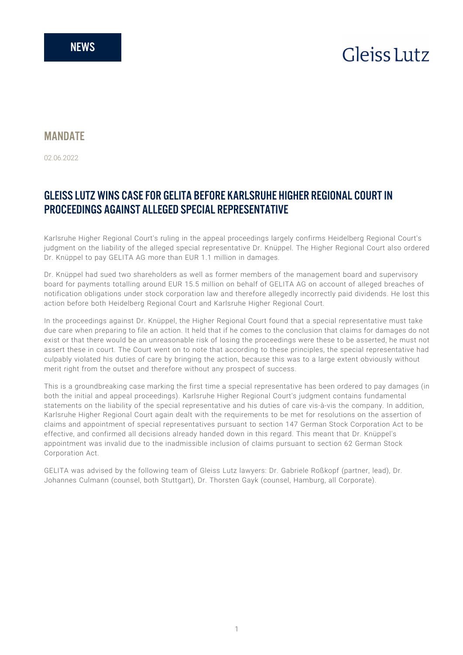## **Gleiss Lutz**

## **MANDATF**

02.06.2022

## GLEISS LUTZ WINS CASE FOR GELITA BEFORE KARLSRUHE HIGHER REGIONAL COURT IN PROCEEDINGS AGAINST ALLEGED SPECIAL REPRESENTATIVE

Karlsruhe Higher Regional Court's ruling in the appeal proceedings largely confirms Heidelberg Regional Court's judgment on the liability of the alleged special representative Dr. Knüppel. The Higher Regional Court also ordered Dr. Knüppel to pay GELITA AG more than EUR 1.1 million in damages.

Dr. Knüppel had sued two shareholders as well as former members of the management board and supervisory board for payments totalling around EUR 15.5 million on behalf of GELITA AG on account of alleged breaches of notification obligations under stock corporation law and therefore allegedly incorrectly paid dividends. He lost this action before both Heidelberg Regional Court and Karlsruhe Higher Regional Court.

In the proceedings against Dr. Knüppel, the Higher Regional Court found that a special representative must take due care when preparing to file an action. It held that if he comes to the conclusion that claims for damages do not exist or that there would be an unreasonable risk of losing the proceedings were these to be asserted, he must not assert these in court. The Court went on to note that according to these principles, the special representative had culpably violated his duties of care by bringing the action, because this was to a large extent obviously without merit right from the outset and therefore without any prospect of success.

This is a groundbreaking case marking the first time a special representative has been ordered to pay damages (in both the initial and appeal proceedings). Karlsruhe Higher Regional Court's judgment contains fundamental statements on the liability of the special representative and his duties of care vis-à-vis the company. In addition, Karlsruhe Higher Regional Court again dealt with the requirements to be met for resolutions on the assertion of claims and appointment of special representatives pursuant to section 147 German Stock Corporation Act to be effective, and confirmed all decisions already handed down in this regard. This meant that Dr. Knüppel's appointment was invalid due to the inadmissible inclusion of claims pursuant to section 62 German Stock Corporation Act.

GELITA was advised by the following team of Gleiss Lutz lawyers: Dr. Gabriele Roßkopf (partner, lead), Dr. Johannes Culmann (counsel, both Stuttgart), Dr. Thorsten Gayk (counsel, Hamburg, all Corporate).